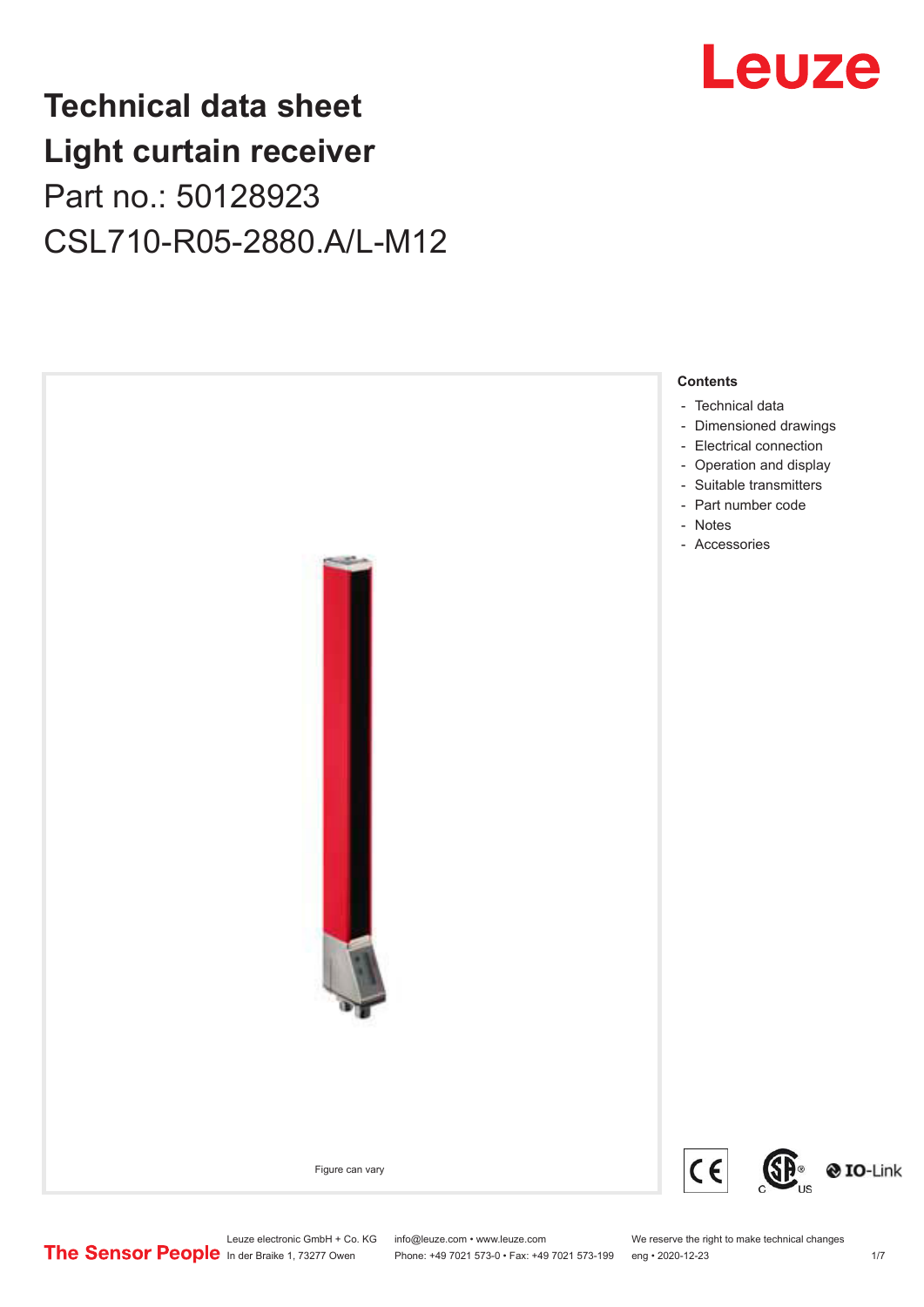## **Technical data sheet Light curtain receiver** Part no.: 50128923 CSL710-R05-2880.A/L-M12



Phone: +49 7021 573-0 • Fax: +49 7021 573-199 eng • 2020-12-23 1 /7

## Leuze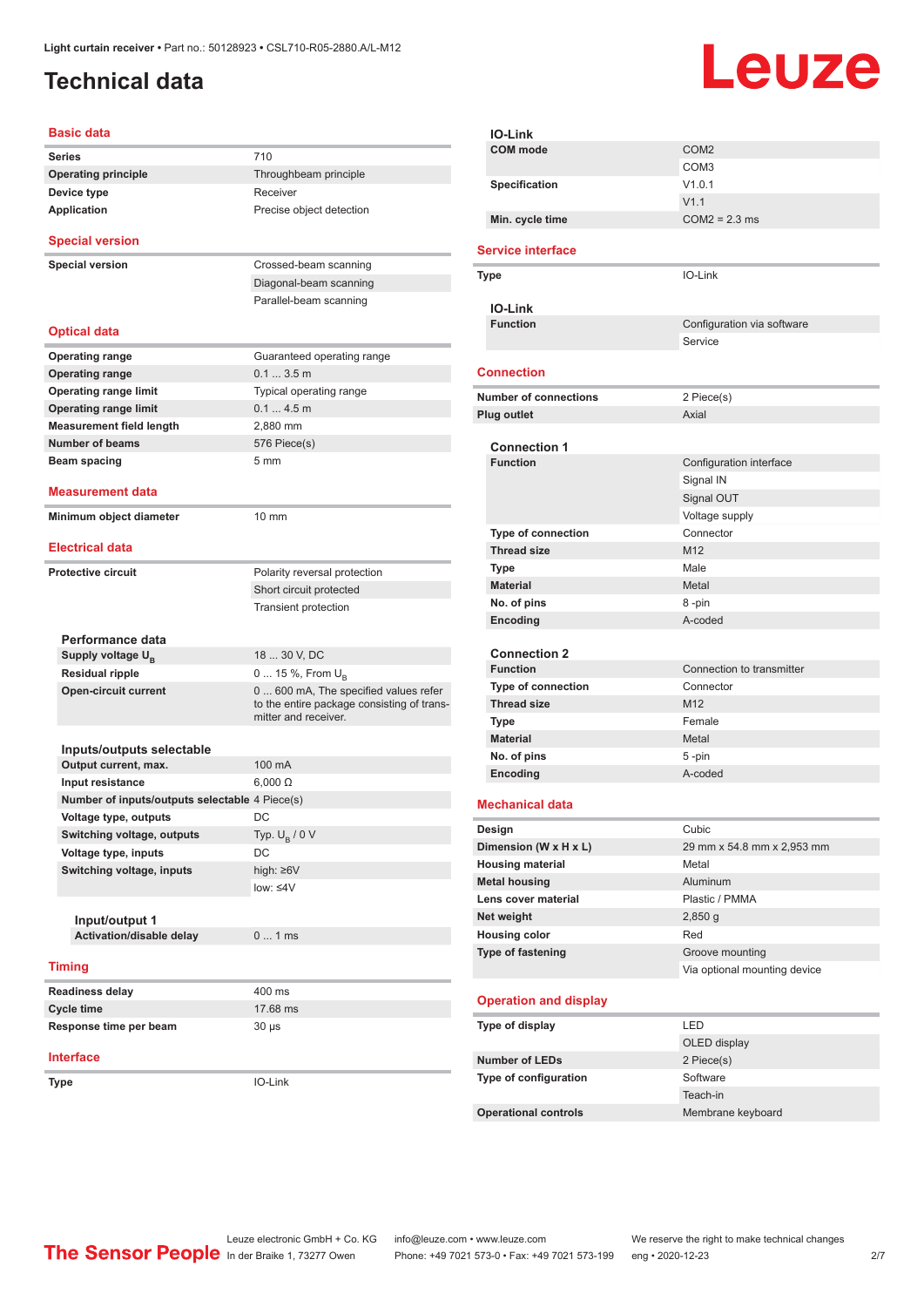## <span id="page-1-0"></span>**Technical data**

# Leuze

| 710<br>Throughbeam principle<br>Receiver<br>Precise object detection<br>Crossed-beam scanning               |
|-------------------------------------------------------------------------------------------------------------|
|                                                                                                             |
|                                                                                                             |
|                                                                                                             |
|                                                                                                             |
|                                                                                                             |
|                                                                                                             |
| Diagonal-beam scanning                                                                                      |
| Parallel-beam scanning                                                                                      |
|                                                                                                             |
| Guaranteed operating range                                                                                  |
| 0.13.5m                                                                                                     |
| Typical operating range                                                                                     |
| 0.14.5m                                                                                                     |
| 2,880 mm                                                                                                    |
| 576 Piece(s)                                                                                                |
| 5 <sub>mm</sub>                                                                                             |
|                                                                                                             |
|                                                                                                             |
| 10 mm                                                                                                       |
|                                                                                                             |
| Polarity reversal protection                                                                                |
| Short circuit protected                                                                                     |
| <b>Transient protection</b>                                                                                 |
|                                                                                                             |
|                                                                                                             |
| 18  30 V, DC                                                                                                |
| 0  15 %, From $U_{\rm B}$                                                                                   |
| 0  600 mA, The specified values refer<br>to the entire package consisting of trans-<br>mitter and receiver. |
|                                                                                                             |
| 100 mA                                                                                                      |
|                                                                                                             |
| $6,000 \Omega$                                                                                              |
| Number of inputs/outputs selectable 4 Piece(s)                                                              |
| DC                                                                                                          |
| Typ. $U_B / 0 V$                                                                                            |
| DC                                                                                                          |
| high: $\geq 6V$                                                                                             |
| low: $\leq 4V$                                                                                              |
|                                                                                                             |
| 01ms                                                                                                        |
|                                                                                                             |
|                                                                                                             |
| 400 ms                                                                                                      |
| 17.68 ms                                                                                                    |
| $30 \mu s$                                                                                                  |
|                                                                                                             |
|                                                                                                             |
|                                                                                                             |

| IO-Link                                         |                              |
|-------------------------------------------------|------------------------------|
| <b>COM</b> mode                                 | COM <sub>2</sub>             |
|                                                 | COM <sub>3</sub>             |
| Specification                                   | V1.0.1                       |
|                                                 | V1.1                         |
| Min. cycle time                                 | $COM2 = 2.3$ ms              |
|                                                 |                              |
| <b>Service interface</b>                        |                              |
| Type                                            | IO-Link                      |
|                                                 |                              |
| <b>IO-Link</b><br><b>Function</b>               | Configuration via software   |
|                                                 | Service                      |
|                                                 |                              |
| <b>Connection</b>                               |                              |
| <b>Number of connections</b>                    | 2 Piece(s)                   |
| <b>Plug outlet</b>                              | Axial                        |
|                                                 |                              |
| <b>Connection 1</b>                             |                              |
| <b>Function</b>                                 | Configuration interface      |
|                                                 | Signal IN                    |
|                                                 | Signal OUT                   |
|                                                 | Voltage supply               |
| Type of connection                              | Connector                    |
| <b>Thread size</b>                              | M12                          |
| <b>Type</b>                                     | Male                         |
| <b>Material</b>                                 | Metal                        |
| No. of pins                                     | 8-pin                        |
| Encoding                                        | A-coded                      |
|                                                 |                              |
| <b>Connection 2</b><br><b>Function</b>          | Connection to transmitter    |
|                                                 | Connector                    |
| <b>Type of connection</b><br><b>Thread size</b> | M <sub>12</sub>              |
| <b>Type</b>                                     | Female                       |
| <b>Material</b>                                 | Metal                        |
| No. of pins                                     |                              |
| Encoding                                        | 5-pin<br>A-coded             |
|                                                 |                              |
| <b>Mechanical data</b>                          |                              |
| Design                                          | Cubic                        |
| Dimension (W x H x L)                           | 29 mm x 54.8 mm x 2,953 mm   |
| <b>Housing material</b>                         | Metal                        |
| <b>Metal housing</b>                            | Aluminum                     |
| Lens cover material                             | Plastic / PMMA               |
| Net weight                                      | $2,850$ g                    |
| <b>Housing color</b>                            | Red                          |
| <b>Type of fastening</b>                        | Groove mounting              |
|                                                 | Via optional mounting device |
|                                                 |                              |
| <b>Operation and display</b>                    |                              |
| Type of display                                 | LED                          |
|                                                 | OLED display                 |
| <b>Number of LEDs</b>                           | 2 Piece(s)                   |
| Type of configuration                           | Software                     |
|                                                 | Teach-in                     |
| <b>Operational controls</b>                     | Membrane keyboard            |
|                                                 |                              |

Leuze electronic GmbH + Co. KG info@leuze.com • www.leuze.com We reserve the right to make technical changes In der Braike 1, 73277 Owen Phone: +49 7021 573-0 • Fax: +49 7021 573-199 eng • 2020-12-23 2/7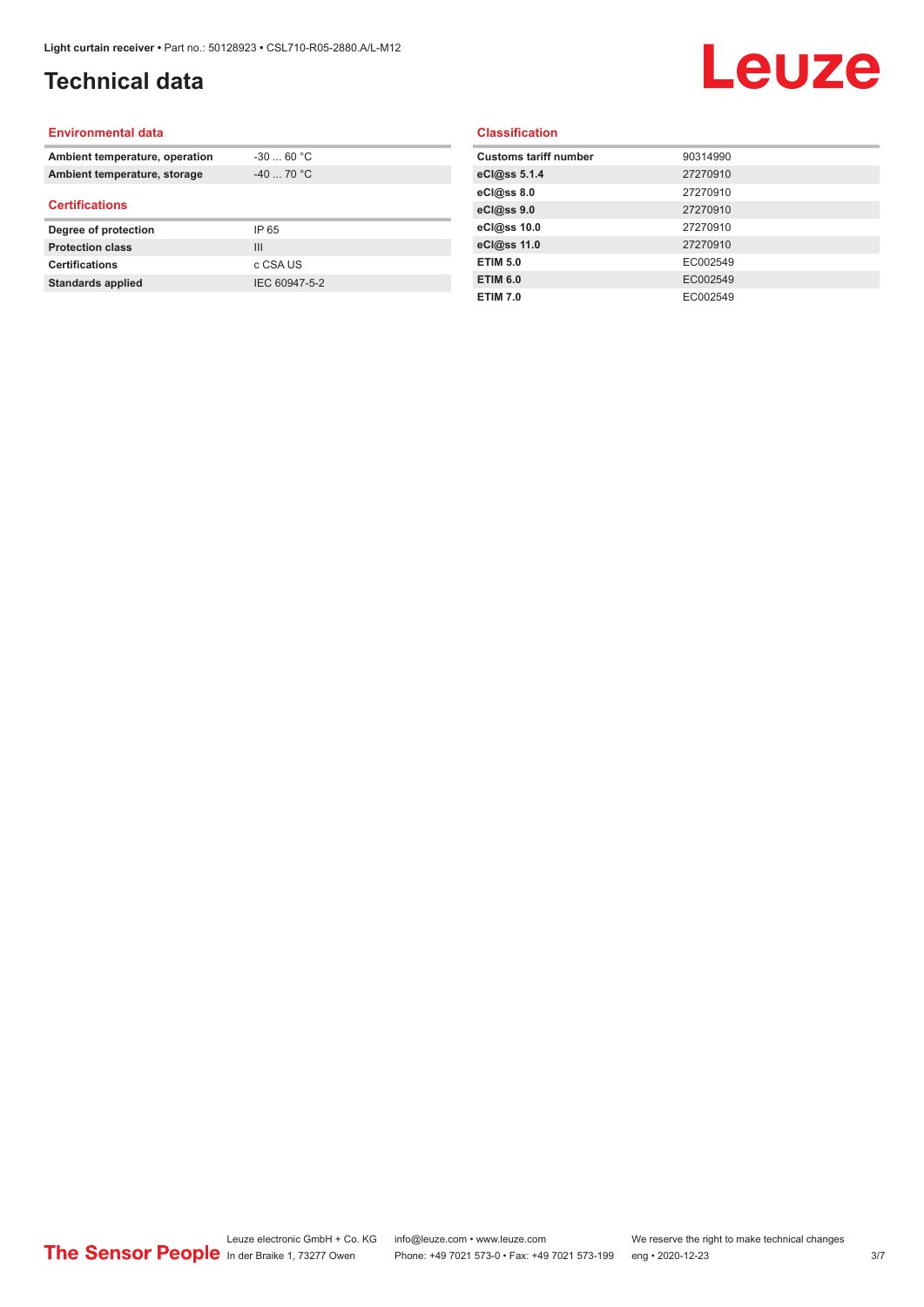## **Technical data**

## Leuze

#### **Environmental data**

| Ambient temperature, operation | $-30$ 60 °C    |  |
|--------------------------------|----------------|--|
| Ambient temperature, storage   | $-40$ 70 °C    |  |
| <b>Certifications</b>          |                |  |
| Degree of protection           | IP 65          |  |
| <b>Protection class</b>        | $\mathbf{III}$ |  |
| <b>Certifications</b>          | c CSA US       |  |
| <b>Standards applied</b>       | IEC 60947-5-2  |  |

#### **Classification**

| <b>Customs tariff number</b> | 90314990 |
|------------------------------|----------|
| eCl@ss 5.1.4                 | 27270910 |
| eCl@ss 8.0                   | 27270910 |
| eCl@ss 9.0                   | 27270910 |
| eCl@ss 10.0                  | 27270910 |
| eCl@ss 11.0                  | 27270910 |
| <b>ETIM 5.0</b>              | EC002549 |
| <b>ETIM 6.0</b>              | EC002549 |
| <b>ETIM 7.0</b>              | EC002549 |
|                              |          |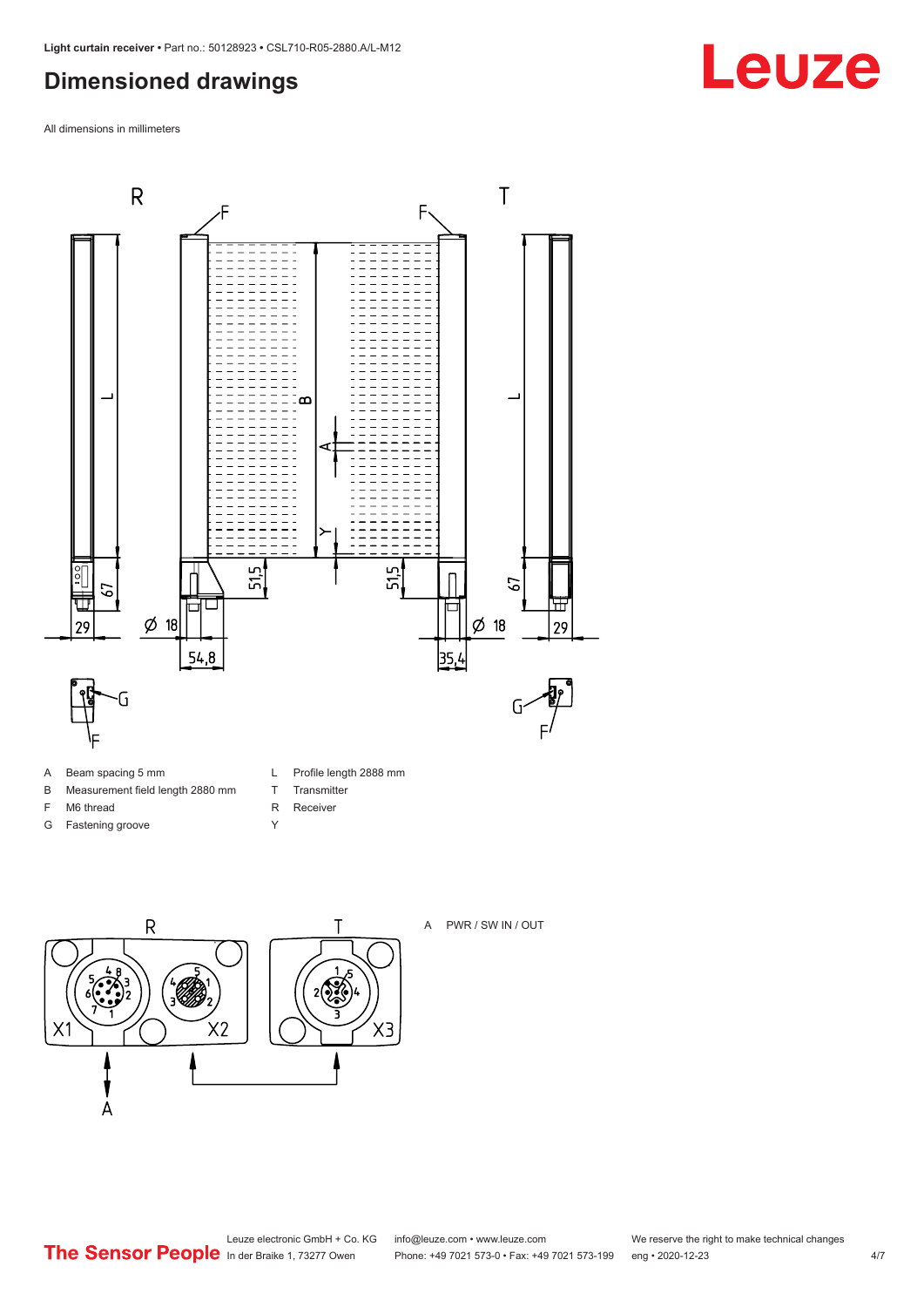### <span id="page-3-0"></span>**Dimensioned drawings**

All dimensions in millimeters



- A Beam spacing 5 mm
- B Measurement field length 2880 mm
- F M6 thread
- G Fastening groove
- L Profile length 2888 mm
- T Transmitter
- R Receiver
- Y





A PWR / SW IN / OUT

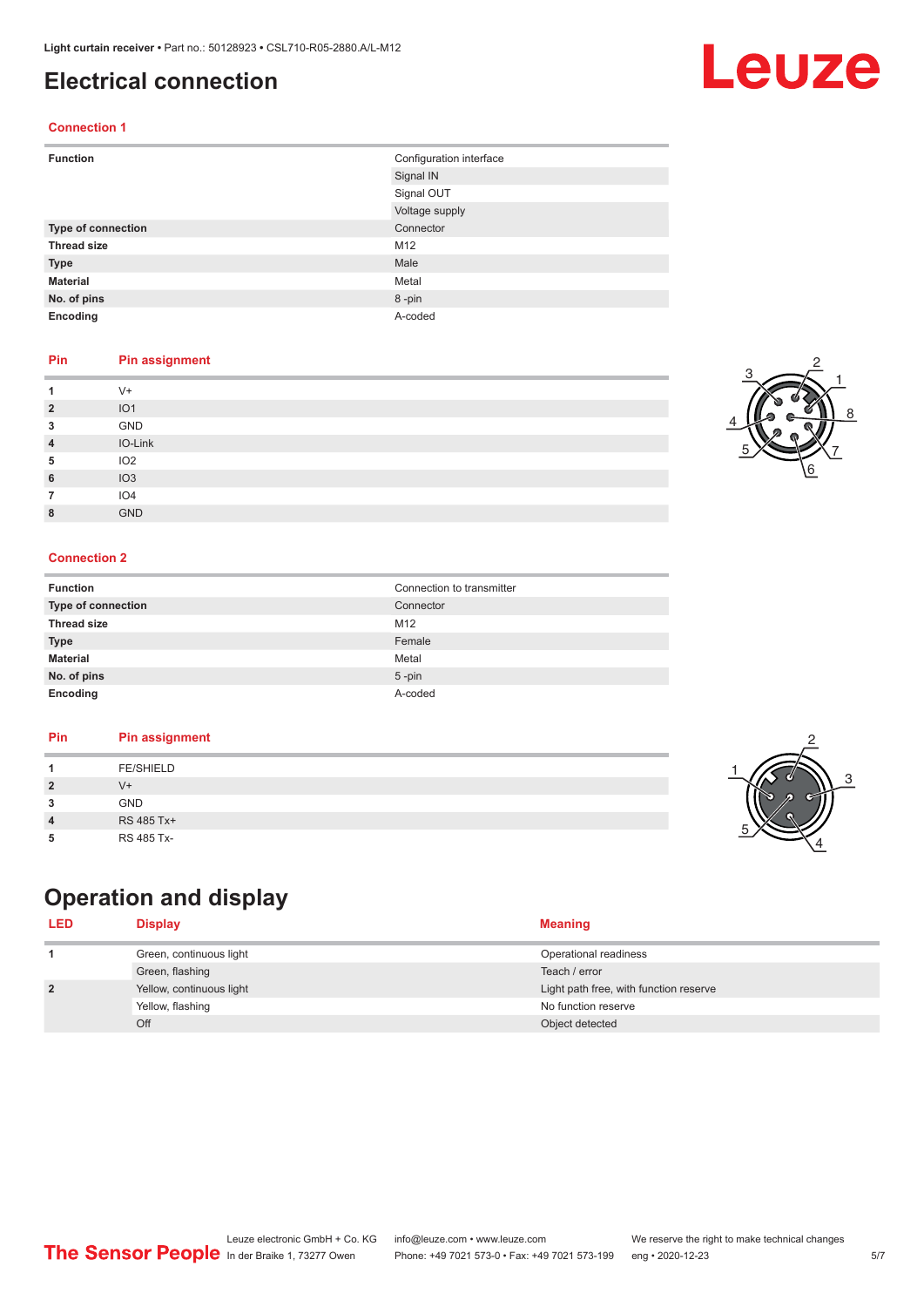### <span id="page-4-0"></span>**Electrical connection**

### **Connection 1**

| <b>Function</b>    | Configuration interface |
|--------------------|-------------------------|
|                    | Signal IN               |
|                    | Signal OUT              |
|                    | Voltage supply          |
| Type of connection | Connector               |
| <b>Thread size</b> | M12                     |
| <b>Type</b>        | Male                    |
| <b>Material</b>    | Metal                   |
| No. of pins        | 8-pin                   |
| Encoding           | A-coded                 |

#### **Pin Pin assignment**

|                | $V +$           |
|----------------|-----------------|
| $\overline{2}$ | IO <sub>1</sub> |
| 3              | GND             |
| 4              | IO-Link         |
| 5              | IO <sub>2</sub> |
| 6              | IO3             |
|                | IO <sub>4</sub> |
| 8              | <b>GND</b>      |

#### **Connection 2**

| <b>Function</b>    | Connection to transmitter |
|--------------------|---------------------------|
| Type of connection | Connector                 |
| <b>Thread size</b> | M12                       |
| <b>Type</b>        | Female                    |
| <b>Material</b>    | Metal                     |
| No. of pins        | $5 - pin$                 |
| Encoding           | A-coded                   |

#### **Pin Pin assignment**

|--|

## **Operation and display**

| <b>LED</b>     | <b>Display</b>           | <b>Meaning</b>                         |
|----------------|--------------------------|----------------------------------------|
|                | Green, continuous light  | Operational readiness                  |
|                | Green, flashing          | Teach / error                          |
| $\overline{2}$ | Yellow, continuous light | Light path free, with function reserve |
|                | Yellow, flashing         | No function reserve                    |
|                | Off                      | Object detected                        |









## Leuze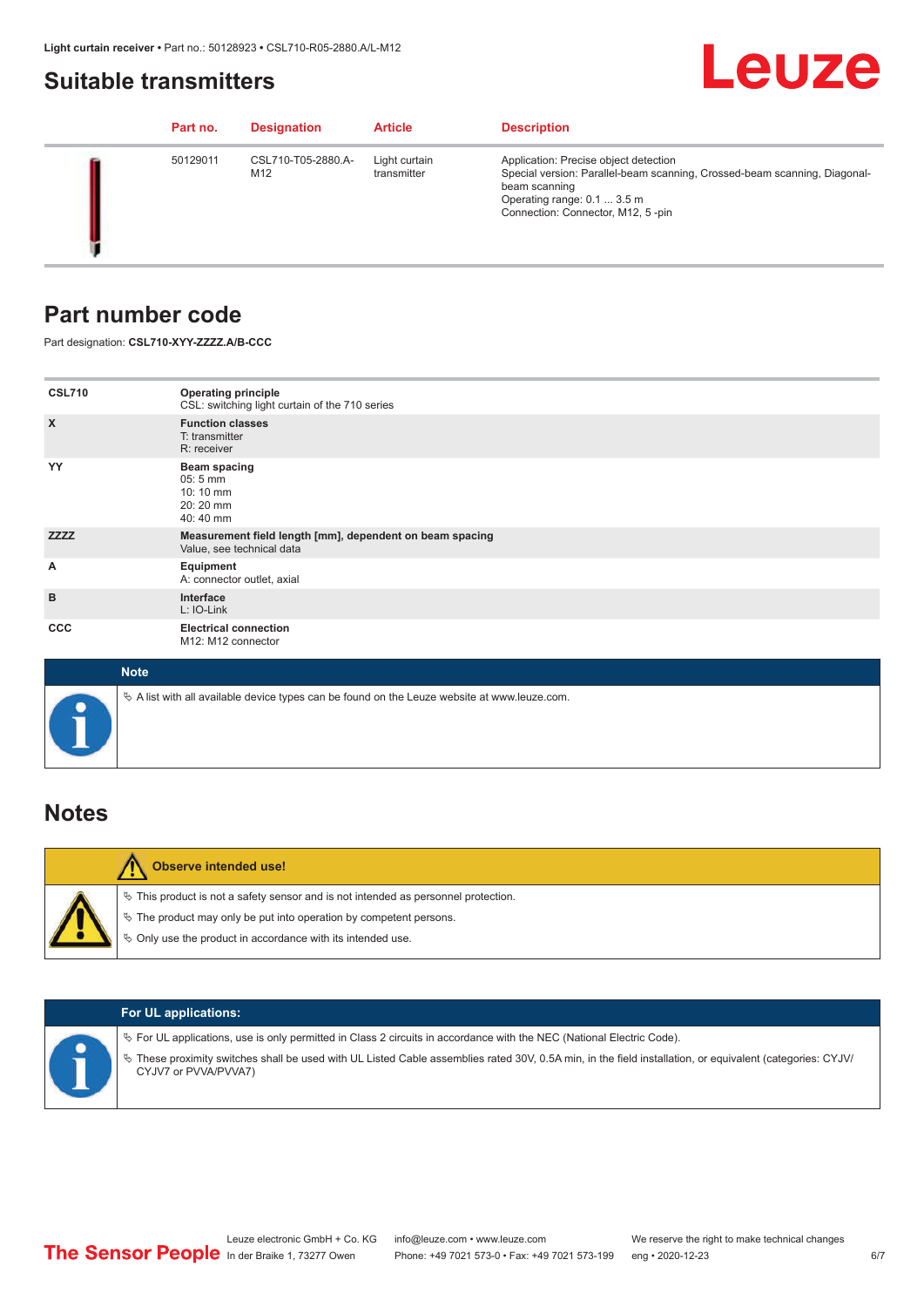### <span id="page-5-0"></span>**Suitable transmitters**

## Leuze

| Part no. | <b>Designation</b>        | <b>Article</b>               | <b>Description</b>                                                                                                                                                                                      |
|----------|---------------------------|------------------------------|---------------------------------------------------------------------------------------------------------------------------------------------------------------------------------------------------------|
| 50129011 | CSL710-T05-2880.A-<br>M12 | Light curtain<br>transmitter | Application: Precise object detection<br>Special version: Parallel-beam scanning, Crossed-beam scanning, Diagonal-<br>beam scanning<br>Operating range: 0.1  3.5 m<br>Connection: Connector, M12, 5-pin |

### **Part number code**

Part designation: **CSL710-XYY-ZZZZ.A/B-CCC**

| <b>CSL710</b><br>$\boldsymbol{\mathsf{X}}$ | <b>Operating principle</b><br>CSL: switching light curtain of the 710 series<br><b>Function classes</b><br>T: transmitter |
|--------------------------------------------|---------------------------------------------------------------------------------------------------------------------------|
| YY                                         | R: receiver<br>Beam spacing<br>$05:5 \, \text{mm}$<br>10:10 mm<br>20:20 mm<br>40:40 mm                                    |
| <b>ZZZZ</b>                                | Measurement field length [mm], dependent on beam spacing<br>Value, see technical data                                     |
| Α                                          | Equipment<br>A: connector outlet, axial                                                                                   |
| B                                          | Interface<br>L: IO-Link                                                                                                   |
| <b>CCC</b>                                 | <b>Electrical connection</b><br>M12: M12 connector                                                                        |

| <b>Note</b>                                                                                  |
|----------------------------------------------------------------------------------------------|
| ∜ A list with all available device types can be found on the Leuze website at www.leuze.com. |

### **Notes**

| <b>Observe intended use!</b>                                                                                                                                                                                                     |
|----------------------------------------------------------------------------------------------------------------------------------------------------------------------------------------------------------------------------------|
| $\%$ This product is not a safety sensor and is not intended as personnel protection.<br>$\&$ The product may only be put into operation by competent persons.<br>$\%$ Only use the product in accordance with its intended use. |

|  | <b>For UL applications:</b>                                                                                                                                                                                                                                                                   |
|--|-----------------------------------------------------------------------------------------------------------------------------------------------------------------------------------------------------------------------------------------------------------------------------------------------|
|  | $\%$ For UL applications, use is only permitted in Class 2 circuits in accordance with the NEC (National Electric Code).<br>These proximity switches shall be used with UL Listed Cable assemblies rated 30V, 0.5A min, in the field installation, or equivalent (categories: CYJV/<br>$\phi$ |
|  | CYJV7 or PVVA/PVVA7)                                                                                                                                                                                                                                                                          |